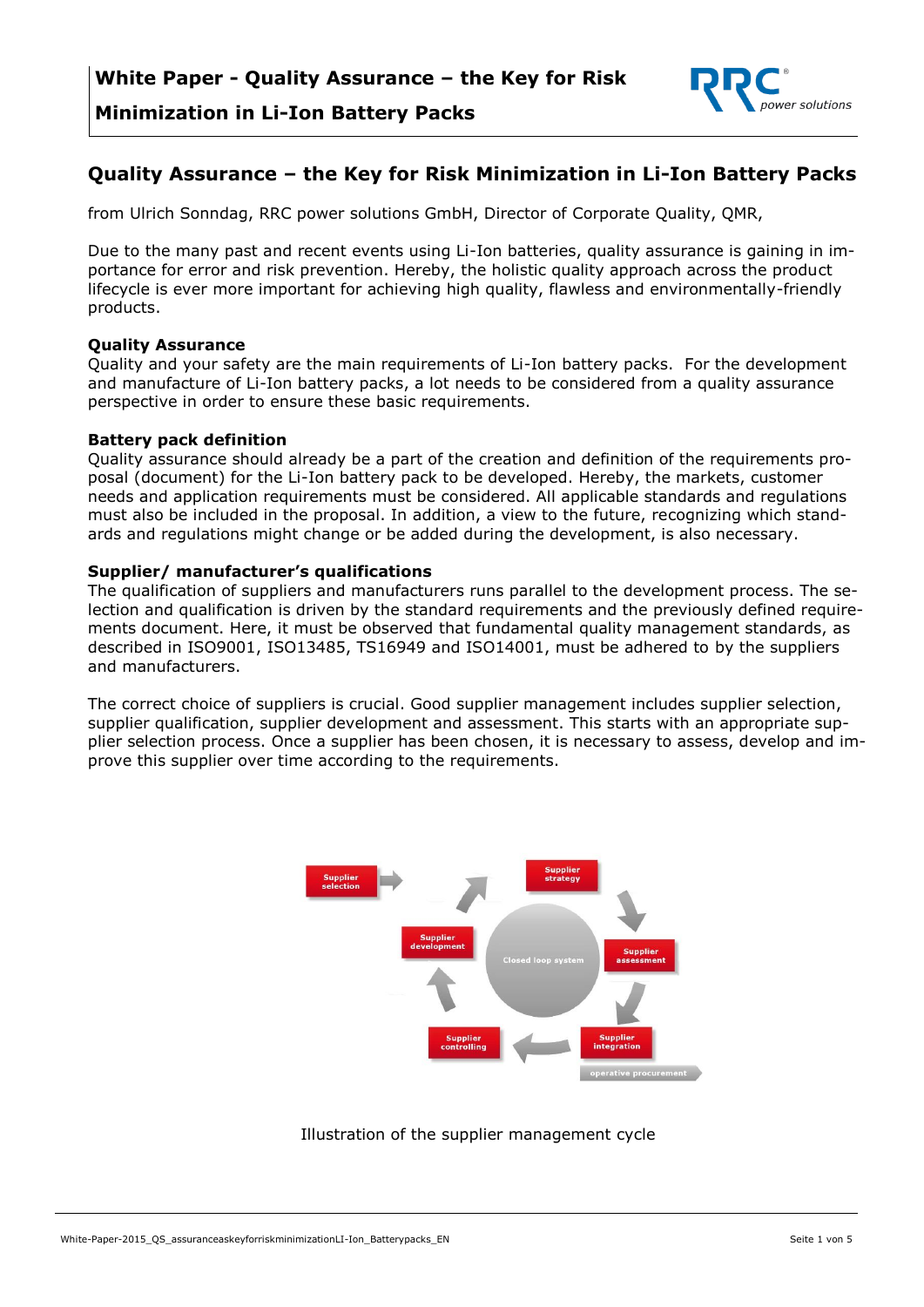

### **Quality Assurance – the Key for Risk Minimization in Li-Ion Battery Packs**

from Ulrich Sonndag, RRC power solutions GmbH, Director of Corporate Quality, QMR,

Due to the many past and recent events using Li-Ion batteries, quality assurance is gaining in importance for error and risk prevention. Hereby, the holistic quality approach across the product lifecycle is ever more important for achieving high quality, flawless and environmentally-friendly products.

#### **Quality Assurance**

Quality and your safety are the main requirements of Li-Ion battery packs. For the development and manufacture of Li-Ion battery packs, a lot needs to be considered from a quality assurance perspective in order to ensure these basic requirements.

#### **Battery pack definition**

Quality assurance should already be a part of the creation and definition of the requirements proposal (document) for the Li-Ion battery pack to be developed. Hereby, the markets, customer needs and application requirements must be considered. All applicable standards and regulations must also be included in the proposal. In addition, a view to the future, recognizing which standards and regulations might change or be added during the development, is also necessary.

#### **Supplier/ manufacturer's qualifications**

The qualification of suppliers and manufacturers runs parallel to the development process. The selection and qualification is driven by the standard requirements and the previously defined requirements document. Here, it must be observed that fundamental quality management standards, as described in ISO9001, ISO13485, TS16949 and ISO14001, must be adhered to by the suppliers and manufacturers.

The correct choice of suppliers is crucial. Good supplier management includes supplier selection, supplier qualification, supplier development and assessment. This starts with an appropriate supplier selection process. Once a supplier has been chosen, it is necessary to assess, develop and improve this supplier over time according to the requirements.



### Illustration of the supplier management cycle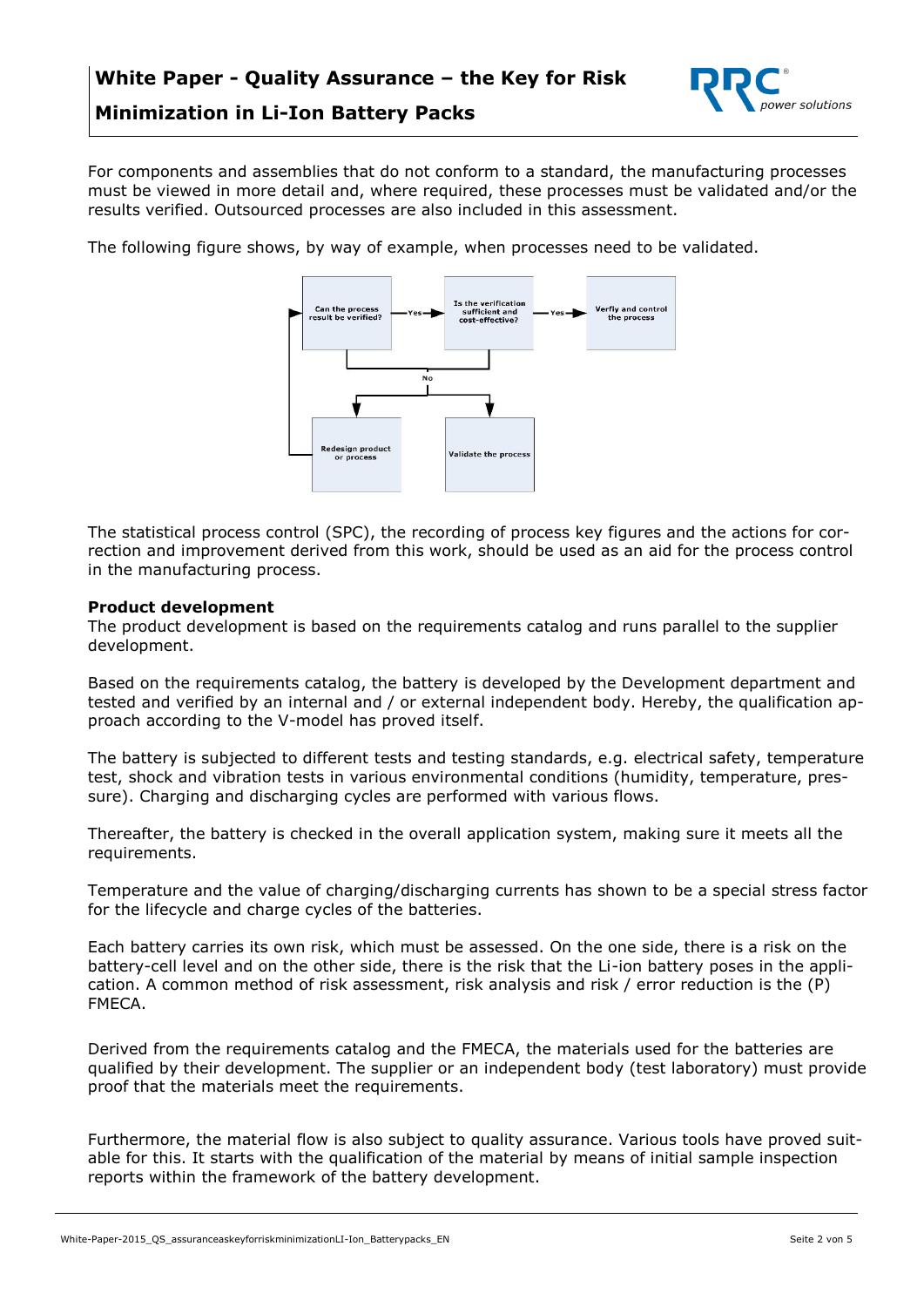

For components and assemblies that do not conform to a standard, the manufacturing processes must be viewed in more detail and, where required, these processes must be validated and/or the results verified. Outsourced processes are also included in this assessment.

The following figure shows, by way of example, when processes need to be validated.



The statistical process control (SPC), the recording of process key figures and the actions for correction and improvement derived from this work, should be used as an aid for the process control in the manufacturing process.

#### **Product development**

The product development is based on the requirements catalog and runs parallel to the supplier development.

Based on the requirements catalog, the battery is developed by the Development department and tested and verified by an internal and / or external independent body. Hereby, the qualification approach according to the V-model has proved itself.

The battery is subjected to different tests and testing standards, e.g. electrical safety, temperature test, shock and vibration tests in various environmental conditions (humidity, temperature, pressure). Charging and discharging cycles are performed with various flows.

Thereafter, the battery is checked in the overall application system, making sure it meets all the requirements.

Temperature and the value of charging/discharging currents has shown to be a special stress factor for the lifecycle and charge cycles of the batteries.

Each battery carries its own risk, which must be assessed. On the one side, there is a risk on the battery-cell level and on the other side, there is the risk that the Li-ion battery poses in the application. A common method of risk assessment, risk analysis and risk / error reduction is the (P) FMECA.

Derived from the requirements catalog and the FMECA, the materials used for the batteries are qualified by their development. The supplier or an independent body (test laboratory) must provide proof that the materials meet the requirements.

Furthermore, the material flow is also subject to quality assurance. Various tools have proved suitable for this. It starts with the qualification of the material by means of initial sample inspection reports within the framework of the battery development.

White-Paper-2015\_OS\_assuranceaskeyforriskminimizationLI-Ion\_Batterypacks\_EN Seite 2 von 5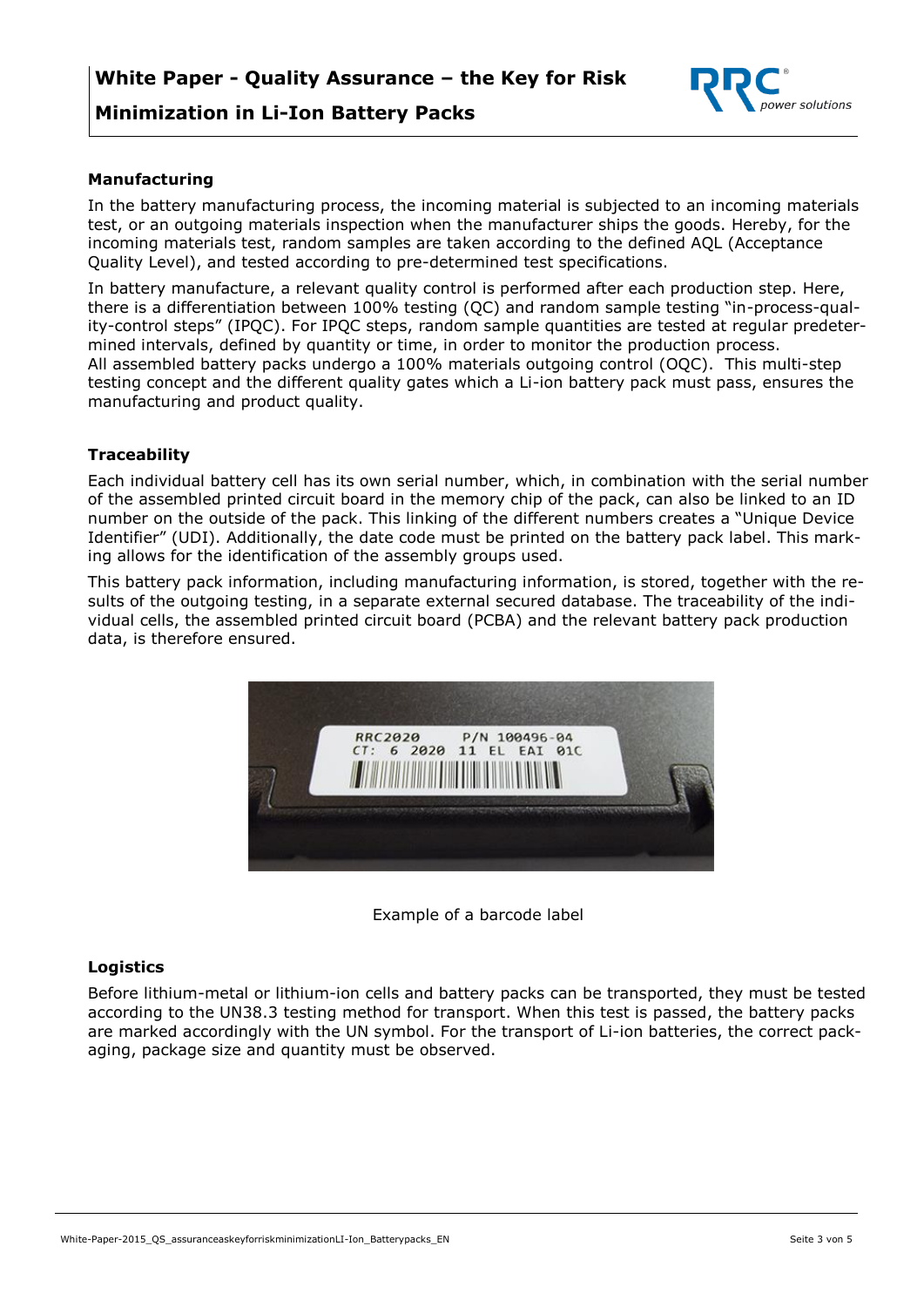

#### **Manufacturing**

In the battery manufacturing process, the incoming material is subjected to an incoming materials test, or an outgoing materials inspection when the manufacturer ships the goods. Hereby, for the incoming materials test, random samples are taken according to the defined AQL (Acceptance Quality Level), and tested according to pre-determined test specifications.

In battery manufacture, a relevant quality control is performed after each production step. Here, there is a differentiation between 100% testing (QC) and random sample testing "in-process-quality-control steps" (IPQC). For IPQC steps, random sample quantities are tested at regular predetermined intervals, defined by quantity or time, in order to monitor the production process. All assembled battery packs undergo a 100% materials outgoing control (OQC). This multi-step testing concept and the different quality gates which a Li-ion battery pack must pass, ensures the manufacturing and product quality.

#### **Traceability**

Each individual battery cell has its own serial number, which, in combination with the serial number of the assembled printed circuit board in the memory chip of the pack, can also be linked to an ID number on the outside of the pack. This linking of the different numbers creates a "Unique Device Identifier" (UDI). Additionally, the date code must be printed on the battery pack label. This marking allows for the identification of the assembly groups used.

This battery pack information, including manufacturing information, is stored, together with the results of the outgoing testing, in a separate external secured database. The traceability of the individual cells, the assembled printed circuit board (PCBA) and the relevant battery pack production data, is therefore ensured.



Example of a barcode label

#### **Logistics**

Before lithium-metal or lithium-ion cells and battery packs can be transported, they must be tested according to the UN38.3 testing method for transport. When this test is passed, the battery packs are marked accordingly with the UN symbol. For the transport of Li-ion batteries, the correct packaging, package size and quantity must be observed.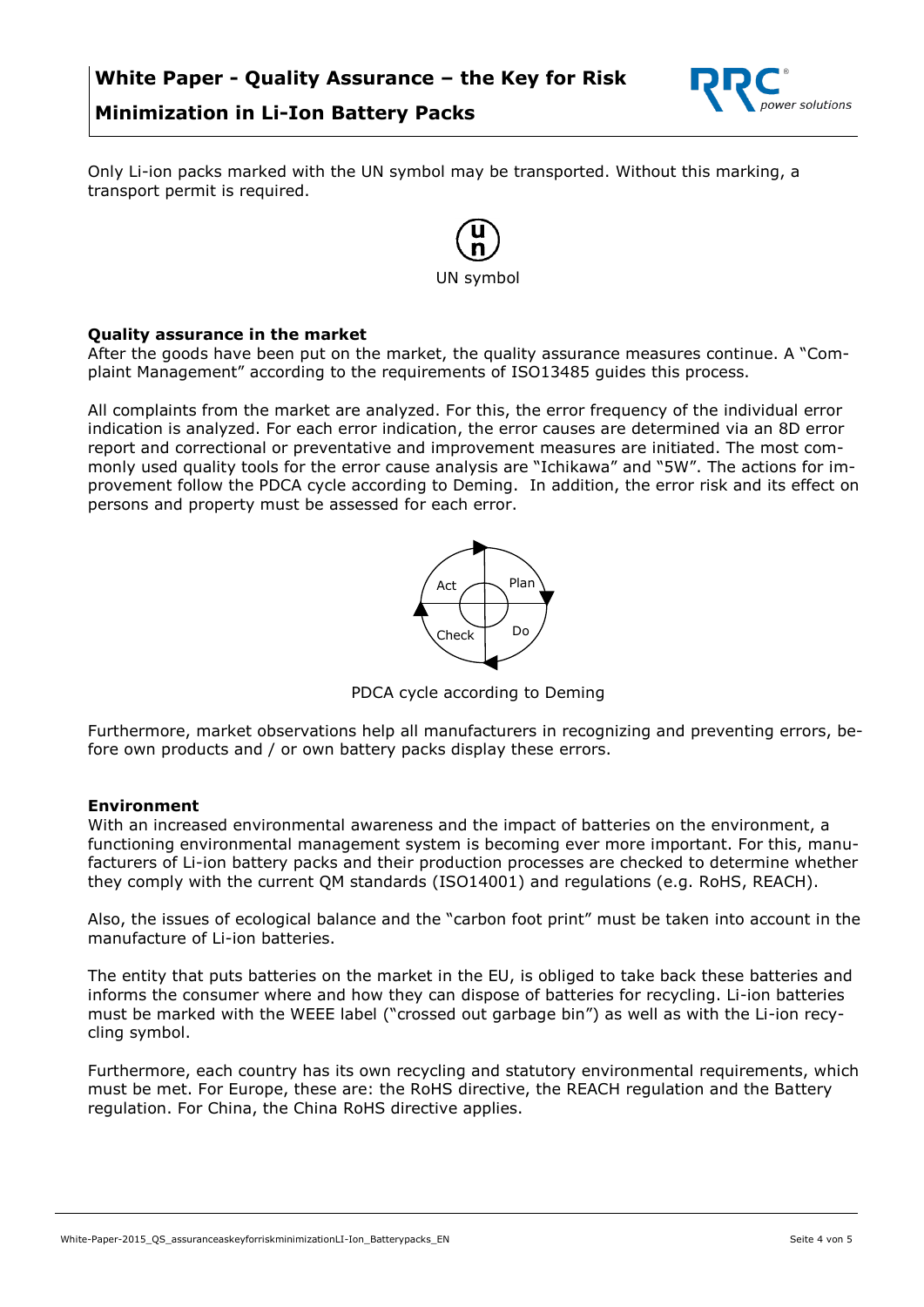

Only Li-ion packs marked with the UN symbol may be transported. Without this marking, a transport permit is required.



#### **Quality assurance in the market**

After the goods have been put on the market, the quality assurance measures continue. A "Complaint Management" according to the requirements of ISO13485 guides this process.

All complaints from the market are analyzed. For this, the error frequency of the individual error indication is analyzed. For each error indication, the error causes are determined via an 8D error report and correctional or preventative and improvement measures are initiated. The most commonly used quality tools for the error cause analysis are "Ichikawa" and "5W". The actions for improvement follow the PDCA cycle according to Deming. In addition, the error risk and its effect on persons and property must be assessed for each error.



PDCA cycle according to Deming

Furthermore, market observations help all manufacturers in recognizing and preventing errors, before own products and / or own battery packs display these errors.

#### **Environment**

With an increased environmental awareness and the impact of batteries on the environment, a functioning environmental management system is becoming ever more important. For this, manufacturers of Li-ion battery packs and their production processes are checked to determine whether they comply with the current QM standards (ISO14001) and regulations (e.g. RoHS, REACH).

Also, the issues of ecological balance and the "carbon foot print" must be taken into account in the manufacture of Li-ion batteries.

The entity that puts batteries on the market in the EU, is obliged to take back these batteries and informs the consumer where and how they can dispose of batteries for recycling. Li-ion batteries must be marked with the WEEE label ("crossed out garbage bin") as well as with the Li-ion recycling symbol.

Furthermore, each country has its own recycling and statutory environmental requirements, which must be met. For Europe, these are: the RoHS directive, the REACH regulation and the Battery regulation. For China, the China RoHS directive applies.